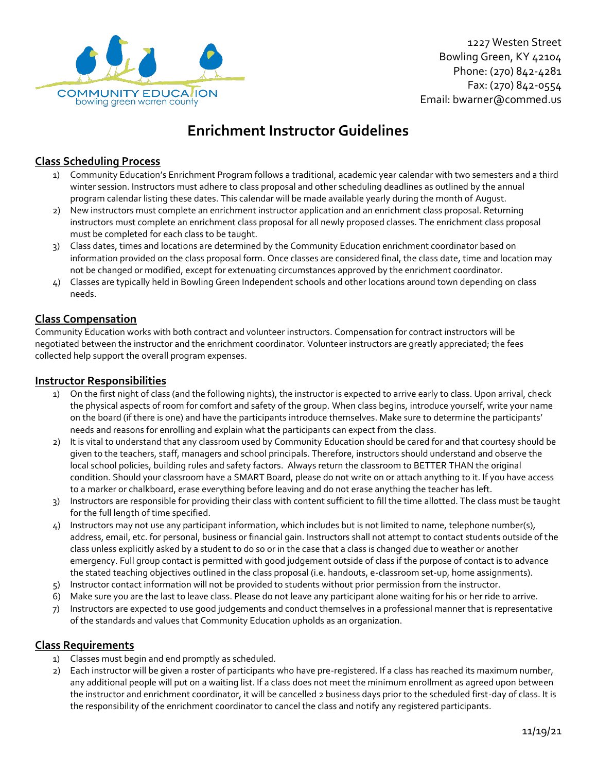

1227 Westen Street Bowling Green, KY 42104 Phone: (270) 842-4281 Fax: (270) 842-0554 Email: bwarner@commed.us

# **Enrichment Instructor Guidelines**

# **Class Scheduling Process**

- 1) Community Education's Enrichment Program follows a traditional, academic year calendar with two semesters and a third winter session. Instructors must adhere to class proposal and other scheduling deadlines as outlined by the annual program calendar listing these dates. This calendar will be made available yearly during the month of August.
- 2) New instructors must complete an enrichment instructor application and an enrichment class proposal. Returning instructors must complete an enrichment class proposal for all newly proposed classes. The enrichment class proposal must be completed for each class to be taught.
- 3) Class dates, times and locations are determined by the Community Education enrichment coordinator based on information provided on the class proposal form. Once classes are considered final, the class date, time and location may not be changed or modified, except for extenuating circumstances approved by the enrichment coordinator.
- 4) Classes are typically held in Bowling Green Independent schools and other locations around town depending on class needs.

### **Class Compensation**

Community Education works with both contract and volunteer instructors. Compensation for contract instructors will be negotiated between the instructor and the enrichment coordinator. Volunteer instructors are greatly appreciated; the fees collected help support the overall program expenses.

#### **Instructor Responsibilities**

- 1) On the first night of class (and the following nights), the instructor is expected to arrive early to class. Upon arrival, check the physical aspects of room for comfort and safety of the group. When class begins, introduce yourself, write your name on the board (if there is one) and have the participants introduce themselves. Make sure to determine the participants' needs and reasons for enrolling and explain what the participants can expect from the class.
- 2) It is vital to understand that any classroom used by Community Education should be cared for and that courtesy should be given to the teachers, staff, managers and school principals. Therefore, instructors should understand and observe the local school policies, building rules and safety factors. Always return the classroom to BETTER THAN the original condition. Should your classroom have a SMART Board, please do not write on or attach anything to it. If you have access to a marker or chalkboard, erase everything before leaving and do not erase anything the teacher has left.
- 3) Instructors are responsible for providing their class with content sufficient to fill the time allotted. The class must be taught for the full length of time specified.
- 4) Instructors may not use any participant information, which includes but is not limited to name, telephone number(s), address, email, etc. for personal, business or financial gain. Instructors shall not attempt to contact students outside of the class unless explicitly asked by a student to do so or in the case that a class is changed due to weather or another emergency. Full group contact is permitted with good judgement outside of class if the purpose of contact is to advance the stated teaching objectives outlined in the class proposal (i.e. handouts, e-classroom set-up, home assignments).
- 5) Instructor contact information will not be provided to students without prior permission from the instructor.
- 6) Make sure you are the last to leave class. Please do not leave any participant alone waiting for his or her ride to arrive.
- 7) Instructors are expected to use good judgements and conduct themselves in a professional manner that is representative of the standards and values that Community Education upholds as an organization.

#### **Class Requirements**

- 1) Classes must begin and end promptly as scheduled.
- 2) Each instructor will be given a roster of participants who have pre-registered. If a class has reached its maximum number, any additional people will put on a waiting list. If a class does not meet the minimum enrollment as agreed upon between the instructor and enrichment coordinator, it will be cancelled 2 business days prior to the scheduled first-day of class. It is the responsibility of the enrichment coordinator to cancel the class and notify any registered participants.